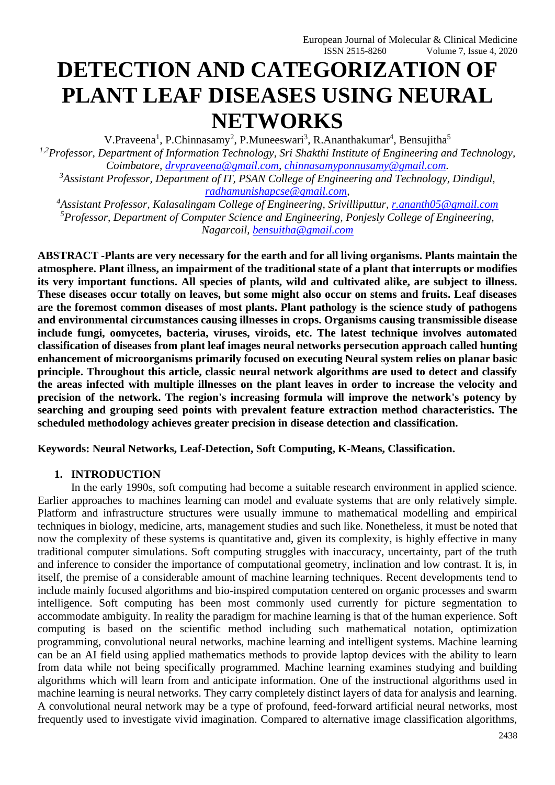# **DETECTION AND CATEGORIZATION OF PLANT LEAF DISEASES USING NEURAL NETWORKS**

V.Praveena<sup>1</sup>, P.Chinnasamy<sup>2</sup>, P.Muneeswari<sup>3</sup>, R.Ananthakumar<sup>4</sup>, Bensujitha<sup>5</sup> *1,2Professor, Department of Information Technology, Sri Shakthi Institute of Engineering and Technology, Coimbatore, [drvpraveena@gmail.com,](mailto:drvpraveena@gmail.com) [chinnasamyponnusamy@gmail.com.](mailto:chinnasamyponnusamy@gmail.com)*

*<sup>3</sup>Assistant Professor, Department of IT, PSAN College of Engineering and Technology, Dindigul, [radhamunishapcse@gmail.com,](mailto:radhamunishapcse@gmail.com)*

*<sup>4</sup>Assistant Professor, Kalasalingam College of Engineering, Srivilliputtur, [r.ananth05@gmail.com](mailto:r.ananth05@gmail.com) <sup>5</sup>Professor, Department of Computer Science and Engineering, Ponjesly College of Engineering, Nagarcoil, [bensuitha@gmail.com](mailto:bensuitha@gmail.com)*

**ABSTRACT -Plants are very necessary for the earth and for all living organisms. Plants maintain the atmosphere. Plant illness, an impairment of the traditional state of a plant that interrupts or modifies its very important functions. All species of plants, wild and cultivated alike, are subject to illness. These diseases occur totally on leaves, but some might also occur on stems and fruits. Leaf diseases are the foremost common diseases of most plants. Plant pathology is the science study of pathogens and environmental circumstances causing illnesses in crops. Organisms causing transmissible disease include fungi, oomycetes, bacteria, viruses, viroids, etc. The latest technique involves automated classification of diseases from plant leaf images neural networks persecution approach called hunting enhancement of microorganisms primarily focused on executing Neural system relies on planar basic principle. Throughout this article, classic neural network algorithms are used to detect and classify the areas infected with multiple illnesses on the plant leaves in order to increase the velocity and precision of the network. The region's increasing formula will improve the network's potency by searching and grouping seed points with prevalent feature extraction method characteristics. The scheduled methodology achieves greater precision in disease detection and classification.** 

**Keywords: Neural Networks, Leaf-Detection, Soft Computing, K-Means, Classification.**

#### **1. INTRODUCTION**

In the early 1990s, soft computing had become a suitable research environment in applied science. Earlier approaches to machines learning can model and evaluate systems that are only relatively simple. Platform and infrastructure structures were usually immune to mathematical modelling and empirical techniques in biology, medicine, arts, management studies and such like. Nonetheless, it must be noted that now the complexity of these systems is quantitative and, given its complexity, is highly effective in many traditional computer simulations. Soft computing struggles with inaccuracy, uncertainty, part of the truth and inference to consider the importance of computational geometry, inclination and low contrast. It is, in itself, the premise of a considerable amount of machine learning techniques. Recent developments tend to include mainly focused algorithms and bio-inspired computation centered on organic processes and swarm intelligence. Soft computing has been most commonly used currently for picture segmentation to accommodate ambiguity. In reality the paradigm for machine learning is that of the human experience. Soft computing is based on the scientific method including such mathematical notation, optimization programming, convolutional neural networks, machine learning and intelligent systems. Machine learning can be an AI field using applied mathematics methods to provide laptop devices with the ability to learn from data while not being specifically programmed. Machine learning examines studying and building algorithms which will learn from and anticipate information. One of the instructional algorithms used in machine learning is neural networks. They carry completely distinct layers of data for analysis and learning. A convolutional neural network may be a type of profound, feed-forward artificial neural networks, most frequently used to investigate vivid imagination. Compared to alternative image classification algorithms,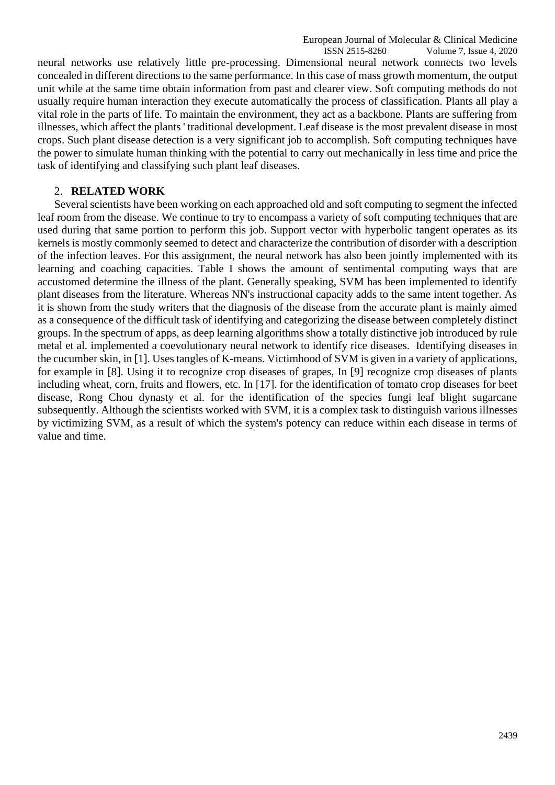neural networks use relatively little pre-processing. Dimensional neural network connects two levels concealed in different directions to the same performance. In this case of mass growth momentum, the output unit while at the same time obtain information from past and clearer view. Soft computing methods do not usually require human interaction they execute automatically the process of classification. Plants all play a vital role in the parts of life. To maintain the environment, they act as a backbone. Plants are suffering from illnesses, which affect the plants ' traditional development. Leaf disease is the most prevalent disease in most crops. Such plant disease detection is a very significant job to accomplish. Soft computing techniques have the power to simulate human thinking with the potential to carry out mechanically in less time and price the task of identifying and classifying such plant leaf diseases.

# 2. **RELATED WORK**

Several scientists have been working on each approached old and soft computing to segment the infected leaf room from the disease. We continue to try to encompass a variety of soft computing techniques that are used during that same portion to perform this job. Support vector with hyperbolic tangent operates as its kernels is mostly commonly seemed to detect and characterize the contribution of disorder with a description of the infection leaves. For this assignment, the neural network has also been jointly implemented with its learning and coaching capacities. Table I shows the amount of sentimental computing ways that are accustomed determine the illness of the plant. Generally speaking, SVM has been implemented to identify plant diseases from the literature. Whereas NN's instructional capacity adds to the same intent together. As it is shown from the study writers that the diagnosis of the disease from the accurate plant is mainly aimed as a consequence of the difficult task of identifying and categorizing the disease between completely distinct groups. In the spectrum of apps, as deep learning algorithms show a totally distinctive job introduced by rule metal et al. implemented a coevolutionary neural network to identify rice diseases. Identifying diseases in the cucumber skin, in [1]. Uses tangles of K-means. Victimhood of SVM is given in a variety of applications, for example in [8]. Using it to recognize crop diseases of grapes, In [9] recognize crop diseases of plants including wheat, corn, fruits and flowers, etc. In [17]. for the identification of tomato crop diseases for beet disease, Rong Chou dynasty et al. for the identification of the species fungi leaf blight sugarcane subsequently. Although the scientists worked with SVM, it is a complex task to distinguish various illnesses by victimizing SVM, as a result of which the system's potency can reduce within each disease in terms of value and time.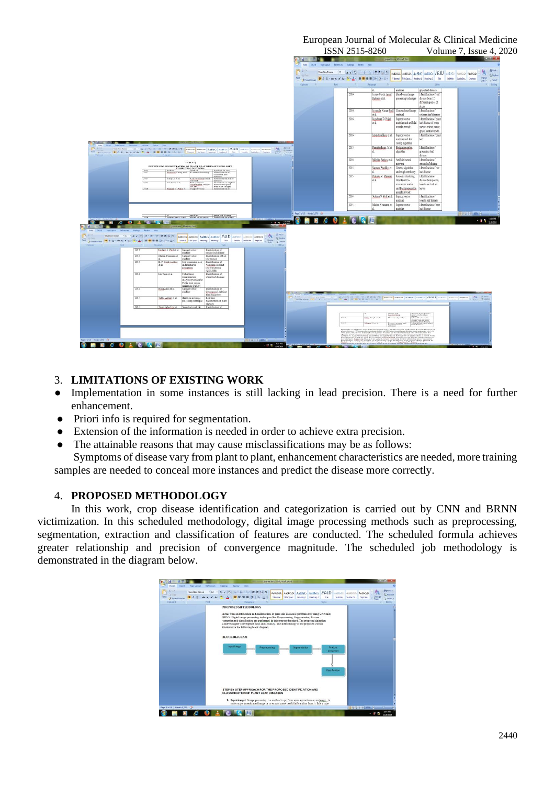#### European Journal of Molecular & Clinical Medicine ISSN 2515-8260 Volume 7, Issue 4, 2020

| Hone Isset Explanat Reference Holings Review View<br>A<br><b>U</b> game<br>Pate Jimmi Parte B J B + de x x Ar V + A + 图 등 H H (3+ B + H 19ams 19adapt Reading) Peatrol 2 Sec Same Same Lephan Conten<br>Ciphoed G Fort - Ford - Pasquigh<br>Styles Styles<br>grape leaf disease<br>machine<br>zL.<br>2016<br>Identification of leaf<br>Javme Garcia Amal<br>Based on an Image<br>Barbedo et al.<br>processing technique<br>disease from 12<br>different species of<br>plants<br>2016<br>Javanala Kumar Patil   Content based image   Identification of<br>soybean leaf diseases<br>et al.<br>retrieval<br>2016<br>Identification of plant<br>Jagadeesh D. Pujani<br>Support vector<br>st al.<br>machine and artificial<br>leaf disease of crops<br>neural network<br>such as wheat, maize,<br>gape, sunflower etc.<br>Identification of plant<br>2016<br>Igbaldeep Kaur et al. Support vector<br>machine and Ant<br>leaf<br>colony algorithm<br>2015<br>Ramakrishnan M et Backpropagation<br>Identification of<br>The first service of the state of the St. (2008) [4] S. Associate Australia Australia Australia Australia Australia Australia Australia Australia Australia Australia Australia Australia Australia Australia Australia Austra<br>groundnut leaf<br>algorithm<br><b>X Formet Parents</b><br>disease<br>2016<br>Identification of<br>Malvika Ranjan et al. Artificial neural<br>TABLE II<br>network<br>cotton leaf disease<br>REVIEW FOR SEGMENTATION OF PLANT LEAF DISEASE USING SOFT $\frac{g}{g}$<br>Author COMPUTING Miltod Authors Application and Application of Shares Anag et al. K-mean chatters and Londonton of<br>Identification of rice<br>2015<br>Santano Phadikar et<br>Genetic algorithm<br>$\frac{Y_{ext}}{2017}$<br>and rough set theory<br>leaf disease<br>n<br>pacember leaf<br>2015<br>Identification of<br>Prakash M. Mainkar<br>K-means clustering.<br>diseases<br>Identification of rice<br>3577<br>Yang Lu et al.<br>Convolutional neural<br>et al.<br>Gravlevel Co-<br>disease from potato,<br>network<br>Fisher's linear<br>diseases<br>Identification of plant<br>3017<br>Lin Yuan et al.<br>temato and cotton<br>occurence matrix<br>$\frac{\text{diam}_{\text{BMM}}}{\text{diam}_{\text{BMM}}}$ analysis<br>diseases and pests<br>from SAR images<br>Identification of<br>and Backpropagation<br>leaves<br>Prescisi B Padol et Support vector<br>2016<br>neural network<br>2014<br>Sushma S. Patil et al. Support vector<br>Identification of<br>tomato leaf disease<br>markine<br>Identification of beet<br>2014<br>Marion Neumann et Support vector<br>d.<br>leaf disease<br>machine<br>hp:3d3 Wid:326 3<br>d. mohise pup leaf disease<br>3016<br>÷<br><b>The</b><br>D<br><b>MERCOLCKE</b><br>$-10$ $\text{Hz}$ $ \frac{500 \text{ m}}{1100 \text{ s}}$<br><b>CONTRACTOR</b><br><b>AN UP A</b><br>punkter Month Ford<br>Holen loset: Highlayed References Hallegy Reven View<br>B <sub>A</sub><br>SQ Day<br>And Formations <b>B</b> Z B + de X X Ar V - A = B B (2-) A + E = 1 News Teatres. Posted. Pering 2 New Lamm Samm Samm Service Street a Service<br>Contest of the test of the magazine of the contest of the contest of the contest of the contest of the contest of the contest of the contest of the contest of the contest of the contest of the contest of the contest of the<br>The Third<br>$G = 100n$<br>2014<br>Sudana S. Patil et al. Support vector<br>Identification of<br>tomato leaf disease<br>machine<br>2014<br>Marion Neumann et<br>Support vector<br>Identification of beet<br>machine<br>leaf disease<br>al.<br>2014<br>K. P. Waidvaratine<br>Self-organizing map<br>Identification of<br>and multilayer<br>et al.<br>Weligama coconut<br>leaf wilt disease<br>perceptron<br>(WCLWD)<br>2014<br>Lin Yuan et al.<br>Fisher linear<br>Identification of<br>wheat leaf diseases<br>discrimination.<br>analysis (FLDA) and<br>Partial least square<br>regression (PLSR)<br>2014<br>Rong Zhou et al.<br>Identification of<br>Support vector<br>machine<br>Cercospora Leaf Spot<br>form Sugar beet<br>2017<br>Tallha Alcram et al.<br>Based on an Image<br>Real time<br>classification of plant<br>processing technique<br>diseases:<br>Trimi Neha Tete et   Nearal network, K-   Identification of<br>$\begin{tabular}{ c c } \hline space & local number \\ \hline 1 & local number \\ \hline 2 & local number \\ \hline 3 & local number \\ \hline 4 & local number \\ \hline 5 & local number \\ \hline 6 & local number \\ \hline 7 & local number \\ \hline 8 & local number \\ \hline 9 & local number \\ \hline 1 & 1 & 1 \\ \hline 2 & 1 & 1 \\ \hline 3 & 1 & 1 \\ \hline 4 & 1 & 1 \\ \hline 5 & 1 & 1 \\ \hline 6 & 1 & 1 \\ \hline 7 & 1 & 1 \\ \hline 8 & 1 & 1 \\ \hline 9 & 1 & 1 \\ \hline 1 & 1 & 1$<br>women and<br>throughout diago<br>Vital Hough on al.<br>Genetic sharehous<br>Monday N on al.<br>Fanny a menna and<br>Nappun visitor<br>nachina |  |  |  | $C = 1$ of |  |  | pumal secu - Microsoft Word |  |               |                              |
|-------------------------------------------------------------------------------------------------------------------------------------------------------------------------------------------------------------------------------------------------------------------------------------------------------------------------------------------------------------------------------------------------------------------------------------------------------------------------------------------------------------------------------------------------------------------------------------------------------------------------------------------------------------------------------------------------------------------------------------------------------------------------------------------------------------------------------------------------------------------------------------------------------------------------------------------------------------------------------------------------------------------------------------------------------------------------------------------------------------------------------------------------------------------------------------------------------------------------------------------------------------------------------------------------------------------------------------------------------------------------------------------------------------------------------------------------------------------------------------------------------------------------------------------------------------------------------------------------------------------------------------------------------------------------------------------------------------------------------------------------------------------------------------------------------------------------------------------------------------------------------------------------------------------------------------------------------------------------------------------------------------------------------------------------------------------------------------------------------------------------------------------------------------------------------------------------------------------------------------------------------------------------------------------------------------------------------------------------------------------------------------------------------------------------------------------------------------------------------------------------------------------------------------------------------------------------------------------------------------------------------------------------------------------------------------------------------------------------------------------------------------------------------------------------------------------------------------------------------------------------------------------------------------------------------------------------------------------------------------------------------------------------------------------------------------------------------------------------------------------------------------------------------------------------------------------------------------------------------------------------------------------------------------------------------------------------------------------------------------------------------------------------------------------------------------------------------------------------------------------------------------------------------------------------------------------------------------------------------------------------------------------------------------------------------------------------------------------------------------------------------------------------------------------------------------------------------------------------------------------------------------------------------------------------------------------------------------------------------------------------------------------------------------------------------------------------------------------------------------------------------------------------------------------------------------------------------------------------------------------------------------------------------------------------------------------------------------------------------------------------------------------------------------------------------------------------------------------------------------------------------------------------------------------------------------------------------------------------------------------------------------------------------------------------------------------------------------------------------------------------------------------------------------------------------------------------------------------------------------------------------------------------------------------------------------------------|--|--|--|------------|--|--|-----------------------------|--|---------------|------------------------------|
|                                                                                                                                                                                                                                                                                                                                                                                                                                                                                                                                                                                                                                                                                                                                                                                                                                                                                                                                                                                                                                                                                                                                                                                                                                                                                                                                                                                                                                                                                                                                                                                                                                                                                                                                                                                                                                                                                                                                                                                                                                                                                                                                                                                                                                                                                                                                                                                                                                                                                                                                                                                                                                                                                                                                                                                                                                                                                                                                                                                                                                                                                                                                                                                                                                                                                                                                                                                                                                                                                                                                                                                                                                                                                                                                                                                                                                                                                                                                                                                                                                                                                                                                                                                                                                                                                                                                                                                                                                                                                                                                                                                                                                                                                                                                                                                                                                                                                                                                                 |  |  |  |            |  |  |                             |  |               |                              |
|                                                                                                                                                                                                                                                                                                                                                                                                                                                                                                                                                                                                                                                                                                                                                                                                                                                                                                                                                                                                                                                                                                                                                                                                                                                                                                                                                                                                                                                                                                                                                                                                                                                                                                                                                                                                                                                                                                                                                                                                                                                                                                                                                                                                                                                                                                                                                                                                                                                                                                                                                                                                                                                                                                                                                                                                                                                                                                                                                                                                                                                                                                                                                                                                                                                                                                                                                                                                                                                                                                                                                                                                                                                                                                                                                                                                                                                                                                                                                                                                                                                                                                                                                                                                                                                                                                                                                                                                                                                                                                                                                                                                                                                                                                                                                                                                                                                                                                                                                 |  |  |  |            |  |  |                             |  |               |                              |
|                                                                                                                                                                                                                                                                                                                                                                                                                                                                                                                                                                                                                                                                                                                                                                                                                                                                                                                                                                                                                                                                                                                                                                                                                                                                                                                                                                                                                                                                                                                                                                                                                                                                                                                                                                                                                                                                                                                                                                                                                                                                                                                                                                                                                                                                                                                                                                                                                                                                                                                                                                                                                                                                                                                                                                                                                                                                                                                                                                                                                                                                                                                                                                                                                                                                                                                                                                                                                                                                                                                                                                                                                                                                                                                                                                                                                                                                                                                                                                                                                                                                                                                                                                                                                                                                                                                                                                                                                                                                                                                                                                                                                                                                                                                                                                                                                                                                                                                                                 |  |  |  |            |  |  |                             |  |               | Styles - Ly Select -         |
|                                                                                                                                                                                                                                                                                                                                                                                                                                                                                                                                                                                                                                                                                                                                                                                                                                                                                                                                                                                                                                                                                                                                                                                                                                                                                                                                                                                                                                                                                                                                                                                                                                                                                                                                                                                                                                                                                                                                                                                                                                                                                                                                                                                                                                                                                                                                                                                                                                                                                                                                                                                                                                                                                                                                                                                                                                                                                                                                                                                                                                                                                                                                                                                                                                                                                                                                                                                                                                                                                                                                                                                                                                                                                                                                                                                                                                                                                                                                                                                                                                                                                                                                                                                                                                                                                                                                                                                                                                                                                                                                                                                                                                                                                                                                                                                                                                                                                                                                                 |  |  |  |            |  |  |                             |  |               | <b>Effra</b>                 |
|                                                                                                                                                                                                                                                                                                                                                                                                                                                                                                                                                                                                                                                                                                                                                                                                                                                                                                                                                                                                                                                                                                                                                                                                                                                                                                                                                                                                                                                                                                                                                                                                                                                                                                                                                                                                                                                                                                                                                                                                                                                                                                                                                                                                                                                                                                                                                                                                                                                                                                                                                                                                                                                                                                                                                                                                                                                                                                                                                                                                                                                                                                                                                                                                                                                                                                                                                                                                                                                                                                                                                                                                                                                                                                                                                                                                                                                                                                                                                                                                                                                                                                                                                                                                                                                                                                                                                                                                                                                                                                                                                                                                                                                                                                                                                                                                                                                                                                                                                 |  |  |  |            |  |  |                             |  |               |                              |
|                                                                                                                                                                                                                                                                                                                                                                                                                                                                                                                                                                                                                                                                                                                                                                                                                                                                                                                                                                                                                                                                                                                                                                                                                                                                                                                                                                                                                                                                                                                                                                                                                                                                                                                                                                                                                                                                                                                                                                                                                                                                                                                                                                                                                                                                                                                                                                                                                                                                                                                                                                                                                                                                                                                                                                                                                                                                                                                                                                                                                                                                                                                                                                                                                                                                                                                                                                                                                                                                                                                                                                                                                                                                                                                                                                                                                                                                                                                                                                                                                                                                                                                                                                                                                                                                                                                                                                                                                                                                                                                                                                                                                                                                                                                                                                                                                                                                                                                                                 |  |  |  |            |  |  |                             |  |               |                              |
|                                                                                                                                                                                                                                                                                                                                                                                                                                                                                                                                                                                                                                                                                                                                                                                                                                                                                                                                                                                                                                                                                                                                                                                                                                                                                                                                                                                                                                                                                                                                                                                                                                                                                                                                                                                                                                                                                                                                                                                                                                                                                                                                                                                                                                                                                                                                                                                                                                                                                                                                                                                                                                                                                                                                                                                                                                                                                                                                                                                                                                                                                                                                                                                                                                                                                                                                                                                                                                                                                                                                                                                                                                                                                                                                                                                                                                                                                                                                                                                                                                                                                                                                                                                                                                                                                                                                                                                                                                                                                                                                                                                                                                                                                                                                                                                                                                                                                                                                                 |  |  |  |            |  |  |                             |  |               |                              |
|                                                                                                                                                                                                                                                                                                                                                                                                                                                                                                                                                                                                                                                                                                                                                                                                                                                                                                                                                                                                                                                                                                                                                                                                                                                                                                                                                                                                                                                                                                                                                                                                                                                                                                                                                                                                                                                                                                                                                                                                                                                                                                                                                                                                                                                                                                                                                                                                                                                                                                                                                                                                                                                                                                                                                                                                                                                                                                                                                                                                                                                                                                                                                                                                                                                                                                                                                                                                                                                                                                                                                                                                                                                                                                                                                                                                                                                                                                                                                                                                                                                                                                                                                                                                                                                                                                                                                                                                                                                                                                                                                                                                                                                                                                                                                                                                                                                                                                                                                 |  |  |  |            |  |  |                             |  |               |                              |
|                                                                                                                                                                                                                                                                                                                                                                                                                                                                                                                                                                                                                                                                                                                                                                                                                                                                                                                                                                                                                                                                                                                                                                                                                                                                                                                                                                                                                                                                                                                                                                                                                                                                                                                                                                                                                                                                                                                                                                                                                                                                                                                                                                                                                                                                                                                                                                                                                                                                                                                                                                                                                                                                                                                                                                                                                                                                                                                                                                                                                                                                                                                                                                                                                                                                                                                                                                                                                                                                                                                                                                                                                                                                                                                                                                                                                                                                                                                                                                                                                                                                                                                                                                                                                                                                                                                                                                                                                                                                                                                                                                                                                                                                                                                                                                                                                                                                                                                                                 |  |  |  |            |  |  |                             |  |               |                              |
|                                                                                                                                                                                                                                                                                                                                                                                                                                                                                                                                                                                                                                                                                                                                                                                                                                                                                                                                                                                                                                                                                                                                                                                                                                                                                                                                                                                                                                                                                                                                                                                                                                                                                                                                                                                                                                                                                                                                                                                                                                                                                                                                                                                                                                                                                                                                                                                                                                                                                                                                                                                                                                                                                                                                                                                                                                                                                                                                                                                                                                                                                                                                                                                                                                                                                                                                                                                                                                                                                                                                                                                                                                                                                                                                                                                                                                                                                                                                                                                                                                                                                                                                                                                                                                                                                                                                                                                                                                                                                                                                                                                                                                                                                                                                                                                                                                                                                                                                                 |  |  |  |            |  |  |                             |  |               |                              |
|                                                                                                                                                                                                                                                                                                                                                                                                                                                                                                                                                                                                                                                                                                                                                                                                                                                                                                                                                                                                                                                                                                                                                                                                                                                                                                                                                                                                                                                                                                                                                                                                                                                                                                                                                                                                                                                                                                                                                                                                                                                                                                                                                                                                                                                                                                                                                                                                                                                                                                                                                                                                                                                                                                                                                                                                                                                                                                                                                                                                                                                                                                                                                                                                                                                                                                                                                                                                                                                                                                                                                                                                                                                                                                                                                                                                                                                                                                                                                                                                                                                                                                                                                                                                                                                                                                                                                                                                                                                                                                                                                                                                                                                                                                                                                                                                                                                                                                                                                 |  |  |  |            |  |  |                             |  |               |                              |
|                                                                                                                                                                                                                                                                                                                                                                                                                                                                                                                                                                                                                                                                                                                                                                                                                                                                                                                                                                                                                                                                                                                                                                                                                                                                                                                                                                                                                                                                                                                                                                                                                                                                                                                                                                                                                                                                                                                                                                                                                                                                                                                                                                                                                                                                                                                                                                                                                                                                                                                                                                                                                                                                                                                                                                                                                                                                                                                                                                                                                                                                                                                                                                                                                                                                                                                                                                                                                                                                                                                                                                                                                                                                                                                                                                                                                                                                                                                                                                                                                                                                                                                                                                                                                                                                                                                                                                                                                                                                                                                                                                                                                                                                                                                                                                                                                                                                                                                                                 |  |  |  |            |  |  |                             |  |               |                              |
|                                                                                                                                                                                                                                                                                                                                                                                                                                                                                                                                                                                                                                                                                                                                                                                                                                                                                                                                                                                                                                                                                                                                                                                                                                                                                                                                                                                                                                                                                                                                                                                                                                                                                                                                                                                                                                                                                                                                                                                                                                                                                                                                                                                                                                                                                                                                                                                                                                                                                                                                                                                                                                                                                                                                                                                                                                                                                                                                                                                                                                                                                                                                                                                                                                                                                                                                                                                                                                                                                                                                                                                                                                                                                                                                                                                                                                                                                                                                                                                                                                                                                                                                                                                                                                                                                                                                                                                                                                                                                                                                                                                                                                                                                                                                                                                                                                                                                                                                                 |  |  |  |            |  |  |                             |  |               |                              |
|                                                                                                                                                                                                                                                                                                                                                                                                                                                                                                                                                                                                                                                                                                                                                                                                                                                                                                                                                                                                                                                                                                                                                                                                                                                                                                                                                                                                                                                                                                                                                                                                                                                                                                                                                                                                                                                                                                                                                                                                                                                                                                                                                                                                                                                                                                                                                                                                                                                                                                                                                                                                                                                                                                                                                                                                                                                                                                                                                                                                                                                                                                                                                                                                                                                                                                                                                                                                                                                                                                                                                                                                                                                                                                                                                                                                                                                                                                                                                                                                                                                                                                                                                                                                                                                                                                                                                                                                                                                                                                                                                                                                                                                                                                                                                                                                                                                                                                                                                 |  |  |  |            |  |  |                             |  |               |                              |
|                                                                                                                                                                                                                                                                                                                                                                                                                                                                                                                                                                                                                                                                                                                                                                                                                                                                                                                                                                                                                                                                                                                                                                                                                                                                                                                                                                                                                                                                                                                                                                                                                                                                                                                                                                                                                                                                                                                                                                                                                                                                                                                                                                                                                                                                                                                                                                                                                                                                                                                                                                                                                                                                                                                                                                                                                                                                                                                                                                                                                                                                                                                                                                                                                                                                                                                                                                                                                                                                                                                                                                                                                                                                                                                                                                                                                                                                                                                                                                                                                                                                                                                                                                                                                                                                                                                                                                                                                                                                                                                                                                                                                                                                                                                                                                                                                                                                                                                                                 |  |  |  |            |  |  |                             |  | 13093日 10%(%) |                              |
|                                                                                                                                                                                                                                                                                                                                                                                                                                                                                                                                                                                                                                                                                                                                                                                                                                                                                                                                                                                                                                                                                                                                                                                                                                                                                                                                                                                                                                                                                                                                                                                                                                                                                                                                                                                                                                                                                                                                                                                                                                                                                                                                                                                                                                                                                                                                                                                                                                                                                                                                                                                                                                                                                                                                                                                                                                                                                                                                                                                                                                                                                                                                                                                                                                                                                                                                                                                                                                                                                                                                                                                                                                                                                                                                                                                                                                                                                                                                                                                                                                                                                                                                                                                                                                                                                                                                                                                                                                                                                                                                                                                                                                                                                                                                                                                                                                                                                                                                                 |  |  |  |            |  |  |                             |  |               | $-$ 3 h $_{118/208}^{52874}$ |
|                                                                                                                                                                                                                                                                                                                                                                                                                                                                                                                                                                                                                                                                                                                                                                                                                                                                                                                                                                                                                                                                                                                                                                                                                                                                                                                                                                                                                                                                                                                                                                                                                                                                                                                                                                                                                                                                                                                                                                                                                                                                                                                                                                                                                                                                                                                                                                                                                                                                                                                                                                                                                                                                                                                                                                                                                                                                                                                                                                                                                                                                                                                                                                                                                                                                                                                                                                                                                                                                                                                                                                                                                                                                                                                                                                                                                                                                                                                                                                                                                                                                                                                                                                                                                                                                                                                                                                                                                                                                                                                                                                                                                                                                                                                                                                                                                                                                                                                                                 |  |  |  |            |  |  |                             |  |               |                              |
|                                                                                                                                                                                                                                                                                                                                                                                                                                                                                                                                                                                                                                                                                                                                                                                                                                                                                                                                                                                                                                                                                                                                                                                                                                                                                                                                                                                                                                                                                                                                                                                                                                                                                                                                                                                                                                                                                                                                                                                                                                                                                                                                                                                                                                                                                                                                                                                                                                                                                                                                                                                                                                                                                                                                                                                                                                                                                                                                                                                                                                                                                                                                                                                                                                                                                                                                                                                                                                                                                                                                                                                                                                                                                                                                                                                                                                                                                                                                                                                                                                                                                                                                                                                                                                                                                                                                                                                                                                                                                                                                                                                                                                                                                                                                                                                                                                                                                                                                                 |  |  |  |            |  |  |                             |  |               |                              |
|                                                                                                                                                                                                                                                                                                                                                                                                                                                                                                                                                                                                                                                                                                                                                                                                                                                                                                                                                                                                                                                                                                                                                                                                                                                                                                                                                                                                                                                                                                                                                                                                                                                                                                                                                                                                                                                                                                                                                                                                                                                                                                                                                                                                                                                                                                                                                                                                                                                                                                                                                                                                                                                                                                                                                                                                                                                                                                                                                                                                                                                                                                                                                                                                                                                                                                                                                                                                                                                                                                                                                                                                                                                                                                                                                                                                                                                                                                                                                                                                                                                                                                                                                                                                                                                                                                                                                                                                                                                                                                                                                                                                                                                                                                                                                                                                                                                                                                                                                 |  |  |  |            |  |  |                             |  |               |                              |
|                                                                                                                                                                                                                                                                                                                                                                                                                                                                                                                                                                                                                                                                                                                                                                                                                                                                                                                                                                                                                                                                                                                                                                                                                                                                                                                                                                                                                                                                                                                                                                                                                                                                                                                                                                                                                                                                                                                                                                                                                                                                                                                                                                                                                                                                                                                                                                                                                                                                                                                                                                                                                                                                                                                                                                                                                                                                                                                                                                                                                                                                                                                                                                                                                                                                                                                                                                                                                                                                                                                                                                                                                                                                                                                                                                                                                                                                                                                                                                                                                                                                                                                                                                                                                                                                                                                                                                                                                                                                                                                                                                                                                                                                                                                                                                                                                                                                                                                                                 |  |  |  |            |  |  |                             |  |               |                              |
|                                                                                                                                                                                                                                                                                                                                                                                                                                                                                                                                                                                                                                                                                                                                                                                                                                                                                                                                                                                                                                                                                                                                                                                                                                                                                                                                                                                                                                                                                                                                                                                                                                                                                                                                                                                                                                                                                                                                                                                                                                                                                                                                                                                                                                                                                                                                                                                                                                                                                                                                                                                                                                                                                                                                                                                                                                                                                                                                                                                                                                                                                                                                                                                                                                                                                                                                                                                                                                                                                                                                                                                                                                                                                                                                                                                                                                                                                                                                                                                                                                                                                                                                                                                                                                                                                                                                                                                                                                                                                                                                                                                                                                                                                                                                                                                                                                                                                                                                                 |  |  |  |            |  |  |                             |  |               |                              |
|                                                                                                                                                                                                                                                                                                                                                                                                                                                                                                                                                                                                                                                                                                                                                                                                                                                                                                                                                                                                                                                                                                                                                                                                                                                                                                                                                                                                                                                                                                                                                                                                                                                                                                                                                                                                                                                                                                                                                                                                                                                                                                                                                                                                                                                                                                                                                                                                                                                                                                                                                                                                                                                                                                                                                                                                                                                                                                                                                                                                                                                                                                                                                                                                                                                                                                                                                                                                                                                                                                                                                                                                                                                                                                                                                                                                                                                                                                                                                                                                                                                                                                                                                                                                                                                                                                                                                                                                                                                                                                                                                                                                                                                                                                                                                                                                                                                                                                                                                 |  |  |  |            |  |  |                             |  |               |                              |
|                                                                                                                                                                                                                                                                                                                                                                                                                                                                                                                                                                                                                                                                                                                                                                                                                                                                                                                                                                                                                                                                                                                                                                                                                                                                                                                                                                                                                                                                                                                                                                                                                                                                                                                                                                                                                                                                                                                                                                                                                                                                                                                                                                                                                                                                                                                                                                                                                                                                                                                                                                                                                                                                                                                                                                                                                                                                                                                                                                                                                                                                                                                                                                                                                                                                                                                                                                                                                                                                                                                                                                                                                                                                                                                                                                                                                                                                                                                                                                                                                                                                                                                                                                                                                                                                                                                                                                                                                                                                                                                                                                                                                                                                                                                                                                                                                                                                                                                                                 |  |  |  |            |  |  |                             |  |               |                              |
|                                                                                                                                                                                                                                                                                                                                                                                                                                                                                                                                                                                                                                                                                                                                                                                                                                                                                                                                                                                                                                                                                                                                                                                                                                                                                                                                                                                                                                                                                                                                                                                                                                                                                                                                                                                                                                                                                                                                                                                                                                                                                                                                                                                                                                                                                                                                                                                                                                                                                                                                                                                                                                                                                                                                                                                                                                                                                                                                                                                                                                                                                                                                                                                                                                                                                                                                                                                                                                                                                                                                                                                                                                                                                                                                                                                                                                                                                                                                                                                                                                                                                                                                                                                                                                                                                                                                                                                                                                                                                                                                                                                                                                                                                                                                                                                                                                                                                                                                                 |  |  |  |            |  |  |                             |  |               |                              |
| hp:1013 mm:129 3<br>(5 0) (2 - 3 - 8 LEEPS 1-4)<br>$0 + 0$ sim<br><b>SOUND</b><br>-                                                                                                                                                                                                                                                                                                                                                                                                                                                                                                                                                                                                                                                                                                                                                                                                                                                                                                                                                                                                                                                                                                                                                                                                                                                                                                                                                                                                                                                                                                                                                                                                                                                                                                                                                                                                                                                                                                                                                                                                                                                                                                                                                                                                                                                                                                                                                                                                                                                                                                                                                                                                                                                                                                                                                                                                                                                                                                                                                                                                                                                                                                                                                                                                                                                                                                                                                                                                                                                                                                                                                                                                                                                                                                                                                                                                                                                                                                                                                                                                                                                                                                                                                                                                                                                                                                                                                                                                                                                                                                                                                                                                                                                                                                                                                                                                                                                             |  |  |  |            |  |  |                             |  |               |                              |

#### 3. **LIMITATIONS OF EXISTING WORK**

- Implementation in some instances is still lacking in lead precision. There is a need for further enhancement.
- Priori info is required for segmentation.
- Extension of the information is needed in order to achieve extra precision.
- The attainable reasons that may cause misclassifications may be as follows:

Symptoms of disease vary from plant to plant, enhancement characteristics are needed, more training samples are needed to conceal more instances and predict the disease more correctly.

# 4. **PROPOSED METHODOLOGY**

In this work, crop disease identification and categorization is carried out by CNN and BRNN victimization. In this scheduled methodology, digital image processing methods such as preprocessing, segmentation, extraction and classification of features are conducted. The scheduled formula achieves greater relationship and precision of convergence magnitude. The scheduled job methodology is demonstrated in the diagram below.

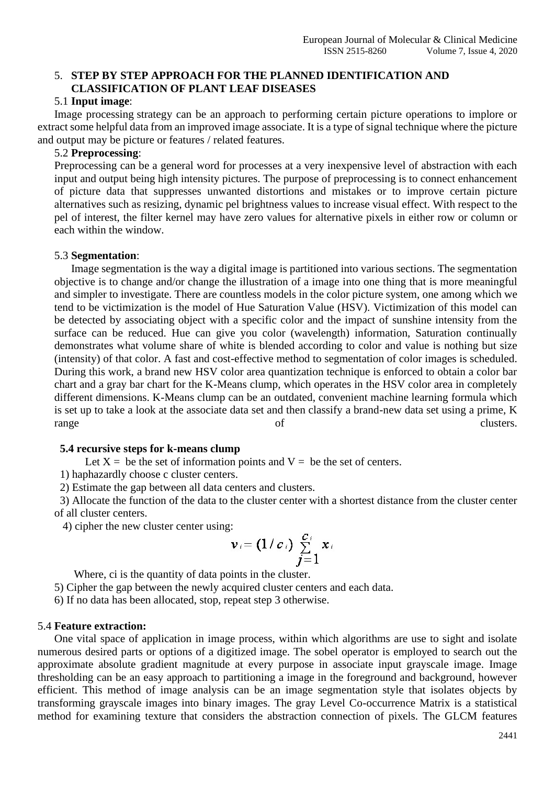#### 5. **STEP BY STEP APPROACH FOR THE PLANNED IDENTIFICATION AND CLASSIFICATION OF PLANT LEAF DISEASES**

#### 5.1 **Input image**:

Image processing strategy can be an approach to performing certain picture operations to implore or extract some helpful data from an improved image associate. It is a type of signal technique where the picture and output may be picture or features / related features.

#### 5.2 **Preprocessing**:

Preprocessing can be a general word for processes at a very inexpensive level of abstraction with each input and output being high intensity pictures. The purpose of preprocessing is to connect enhancement of picture data that suppresses unwanted distortions and mistakes or to improve certain picture alternatives such as resizing, dynamic pel brightness values to increase visual effect. With respect to the pel of interest, the filter kernel may have zero values for alternative pixels in either row or column or each within the window.

### 5.3 **Segmentation**:

Image segmentation is the way a digital image is partitioned into various sections. The segmentation objective is to change and/or change the illustration of a image into one thing that is more meaningful and simpler to investigate. There are countless models in the color picture system, one among which we tend to be victimization is the model of Hue Saturation Value (HSV). Victimization of this model can be detected by associating object with a specific color and the impact of sunshine intensity from the surface can be reduced. Hue can give you color (wavelength) information, Saturation continually demonstrates what volume share of white is blended according to color and value is nothing but size (intensity) of that color. A fast and cost-effective method to segmentation of color images is scheduled. During this work, a brand new HSV color area quantization technique is enforced to obtain a color bar chart and a gray bar chart for the K-Means clump, which operates in the HSV color area in completely different dimensions. K-Means clump can be an outdated, convenient machine learning formula which is set up to take a look at the associate data set and then classify a brand-new data set using a prime, K range of clusters.

#### **5.4 recursive steps for k-means clump**

Let  $X =$  be the set of information points and  $V =$  be the set of centers.

1) haphazardly choose c cluster centers.

2) Estimate the gap between all data centers and clusters.

 3) Allocate the function of the data to the cluster center with a shortest distance from the cluster center of all cluster centers.

4) cipher the new cluster center using:

$$
\mathbf{v}_i = (1/c_i) \sum_{j=1}^{c_i} x_i
$$

Where, ci is the quantity of data points in the cluster.

5) Cipher the gap between the newly acquired cluster centers and each data.

6) If no data has been allocated, stop, repeat step 3 otherwise.

#### 5.4 **Feature extraction:**

One vital space of application in image process, within which algorithms are use to sight and isolate numerous desired parts or options of a digitized image. The sobel operator is employed to search out the approximate absolute gradient magnitude at every purpose in associate input grayscale image. Image thresholding can be an easy approach to partitioning a image in the foreground and background, however efficient. This method of image analysis can be an image segmentation style that isolates objects by transforming grayscale images into binary images. The gray Level Co-occurrence Matrix is a statistical method for examining texture that considers the abstraction connection of pixels. The GLCM features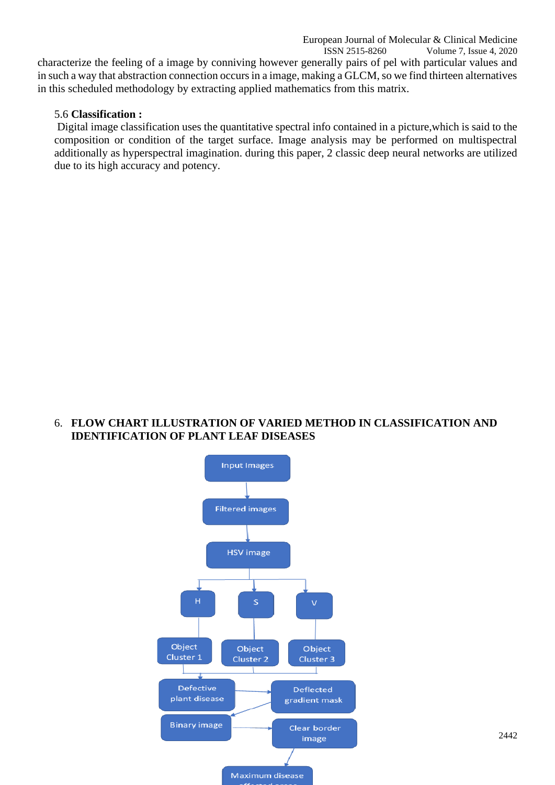Volume 7, Issue 4, 2020 characterize the feeling of a image by conniving however generally pairs of pel with particular values and in such a way that abstraction connection occurs in a image, making a GLCM, so we find thirteen alternatives in this scheduled methodology by extracting applied mathematics from this matrix.

# 5.6 **Classification :**

Digital image classification uses the quantitative spectral info contained in a picture,which is said to the composition or condition of the target surface. Image analysis may be performed on multispectral additionally as hyperspectral imagination. during this paper, 2 classic deep neural networks are utilized due to its high accuracy and potency.

### 6. **FLOW CHART ILLUSTRATION OF VARIED METHOD IN CLASSIFICATION AND IDENTIFICATION OF PLANT LEAF DISEASES**

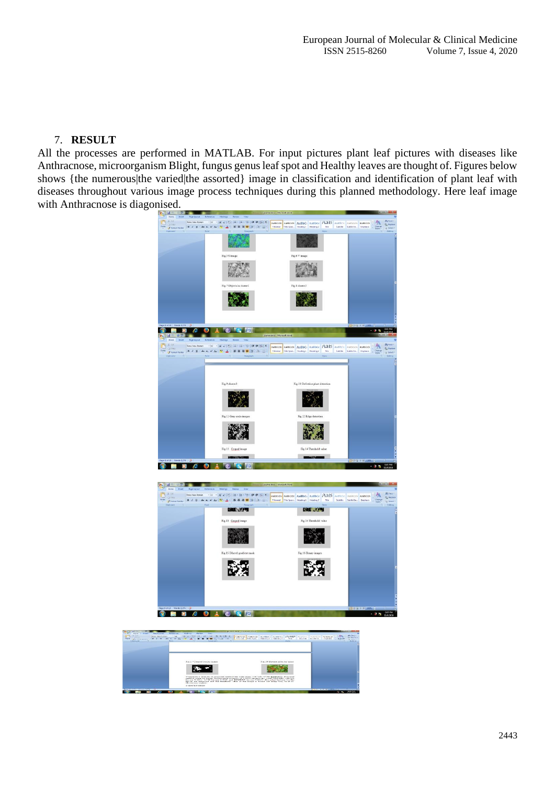# 7. **RESULT**

All the processes are performed in MATLAB. For input pictures plant leaf pictures with diseases like Anthracnose, microorganism Blight, fungus genus leaf spot and Healthy leaves are thought of. Figures below shows {the numerous|the varied|the assorted} image in classification and identification of plant leaf with diseases throughout various image process techniques during this planned methodology. Here leaf image with Anthracnose is diagonised.

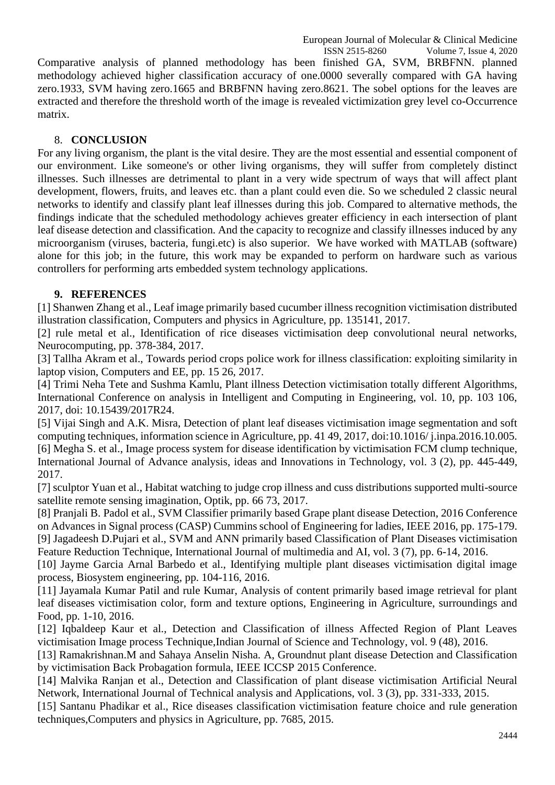ISSN 2515-8260 Volume 7, Issue 4, 2020 Comparative analysis of planned methodology has been finished GA, SVM, BRBFNN. planned methodology achieved higher classification accuracy of one.0000 severally compared with GA having zero.1933, SVM having zero.1665 and BRBFNN having zero.8621. The sobel options for the leaves are extracted and therefore the threshold worth of the image is revealed victimization grey level co-Occurrence matrix.

# 8. **CONCLUSION**

For any living organism, the plant is the vital desire. They are the most essential and essential component of our environment. Like someone's or other living organisms, they will suffer from completely distinct illnesses. Such illnesses are detrimental to plant in a very wide spectrum of ways that will affect plant development, flowers, fruits, and leaves etc. than a plant could even die. So we scheduled 2 classic neural networks to identify and classify plant leaf illnesses during this job. Compared to alternative methods, the findings indicate that the scheduled methodology achieves greater efficiency in each intersection of plant leaf disease detection and classification. And the capacity to recognize and classify illnesses induced by any microorganism (viruses, bacteria, fungi.etc) is also superior. We have worked with MATLAB (software) alone for this job; in the future, this work may be expanded to perform on hardware such as various controllers for performing arts embedded system technology applications.

# **9. REFERENCES**

[1] Shanwen Zhang et al., Leaf image primarily based cucumber illness recognition victimisation distributed illustration classification, Computers and physics in Agriculture, pp. 135141, 2017.

[2] rule metal et al., Identification of rice diseases victimisation deep convolutional neural networks, Neurocomputing, pp. 378-384, 2017.

[3] Tallha Akram et al., Towards period crops police work for illness classification: exploiting similarity in laptop vision, Computers and EE, pp. 15 26, 2017.

[4] Trimi Neha Tete and Sushma Kamlu, Plant illness Detection victimisation totally different Algorithms, International Conference on analysis in Intelligent and Computing in Engineering, vol. 10, pp. 103 106, 2017, doi: 10.15439/2017R24.

[5] Vijai Singh and A.K. Misra, Detection of plant leaf diseases victimisation image segmentation and soft computing techniques, information science in Agriculture, pp. 41 49, 2017, doi:10.1016/ j.inpa.2016.10.005. [6] Megha S. et al., Image process system for disease identification by victimisation FCM clump technique, International Journal of Advance analysis, ideas and Innovations in Technology, vol. 3 (2), pp. 445-449, 2017.

[7] sculptor Yuan et al., Habitat watching to judge crop illness and cuss distributions supported multi-source satellite remote sensing imagination, Optik, pp. 66 73, 2017.

[8] Pranjali B. Padol et al., SVM Classifier primarily based Grape plant disease Detection, 2016 Conference on Advances in Signal process (CASP) Cummins school of Engineering for ladies, IEEE 2016, pp. 175-179. [9] Jagadeesh D.Pujari et al., SVM and ANN primarily based Classification of Plant Diseases victimisation Feature Reduction Technique, International Journal of multimedia and AI, vol. 3 (7), pp. 6-14, 2016.

[10] Jayme Garcia Arnal Barbedo et al., Identifying multiple plant diseases victimisation digital image process, Biosystem engineering, pp. 104-116, 2016.

[11] Jayamala Kumar Patil and rule Kumar, Analysis of content primarily based image retrieval for plant leaf diseases victimisation color, form and texture options, Engineering in Agriculture, surroundings and Food, pp. 1-10, 2016.

[12] Iqbaldeep Kaur et al., Detection and Classification of illness Affected Region of Plant Leaves victimisation Image process Technique,Indian Journal of Science and Technology, vol. 9 (48), 2016.

[13] Ramakrishnan.M and Sahaya Anselin Nisha. A, Groundnut plant disease Detection and Classification by victimisation Back Probagation formula, IEEE ICCSP 2015 Conference.

[14] Malvika Ranjan et al., Detection and Classification of plant disease victimisation Artificial Neural Network, International Journal of Technical analysis and Applications, vol. 3 (3), pp. 331-333, 2015.

[15] Santanu Phadikar et al., Rice diseases classification victimisation feature choice and rule generation techniques,Computers and physics in Agriculture, pp. 7685, 2015.